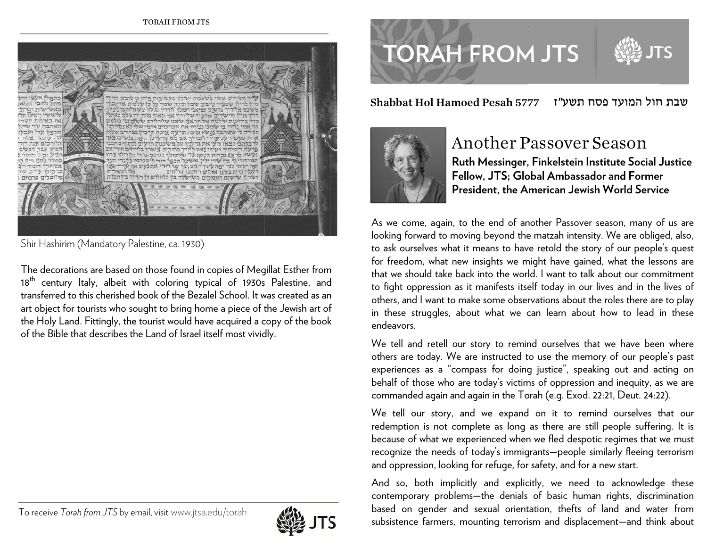

Shir Hashirim (Mandatory Palestine, ca. 1930)

The decorations are based on those found in copies of Megillat Esther from 18<sup>th</sup> century ltaly, albeit with coloring typical of 1930s Palestine, and transferred to this cherished book of the Bezalel School. It was created as an art object for tourists who sought to bring home a piece of the Jewish art of the Holy Land. Fittingly, the tourist would have acquired a copy of the book of the Bible that describes the Land of Israel itself most vividly.

#### To receive *T Torah from JTS* by e email, visitwww.jts sa.edu/torah



# **TORAH FROM JTS**

Shabbat Hol Hamoed Pesah 577 ח תשע"ז 77 חול המועד פסח שבת ח



### Another Passover Season

**Ru uth Messinger, , Finkelstein In nstitute Social J Justice Feellow, JTS; Glo obal Ambassaddor and FormerrPrresident, the A American Jewish World Servicce** 

As we come, again, to the end of another Passover season, many of us are looking forward to moving beyond the matzah intensity. We are obliged, also, to ask ourselves what it means to have retold the story of our people's quest for freedom, what new insights we might have gained, what the lessons are that we should take back into the world. I want to talk about our commitment to fight oppression as it manifests itself today in our lives and in the lives of others, and I want to make some observations about the roles there are to play in these struggles, about what we can learn about how to lead in these endeavors. Shabbat Hol Hamo<br>
Mathematics<br>
Consider the Shaw Consider of the Shaw Consider<br>
As we come, again, to<br>
looking forward to move<br>
to ask ourselves what if<br>
of the Shaw Consider that we should take bad<br>
to fight oppression as

> We tell and retell our story to remind ourselves that we have been where others are today. We are instructed to use the memory of our people's past experiences as a "compass for doing justice", speaking out and acting on behalf of those who are today's victims of oppression and inequity, as we are commanded again and again in the Torah (e.g. Exod. 22:21, Deut. 24:22).

> We tell our story, and we expand on it to remind ourselves that our redemption is not complete as long as there are still people suffering. It is because of what we experienced when we fled despotic regimes that we must recognize the needs of today's immigrants—people similarly fleeing terrorism and oppression, looking for refuge, for safety, and for a new start.

> And so, both implicitly and explicitly, we need to acknowledge these contemporary problems—the denials of basic human rights, discrimination based on gender and sexual orientation, thefts of land and water from subsistence farmers, mounting terrorism and displacement—and think about